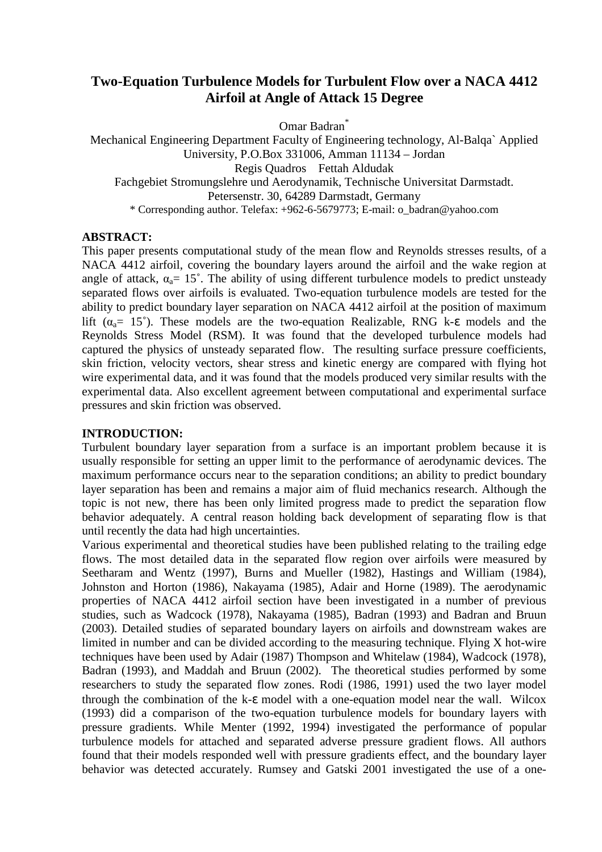# **Two-Equation Turbulence Models for Turbulent Flow over a NACA 4412 Airfoil at Angle of Attack 15 Degree**

Omar Badran<sup>\*</sup>

Mechanical Engineering Department Faculty of Engineering technology, Al-Balqa` Applied University, P.O.Box 331006, Amman 11134 – Jordan Regis Quadros Fettah Aldudak Fachgebiet Stromungslehre und Aerodynamik, Technische Universitat Darmstadt. Petersenstr. 30, 64289 Darmstadt, Germany \* Corresponding author. Telefax: +962-6-5679773; E-mail: o\_badran@yahoo.com

#### **ABSTRACT:**

This paper presents computational study of the mean flow and Reynolds stresses results, of a NACA 4412 airfoil, covering the boundary layers around the airfoil and the wake region at angle of attack,  $\alpha_a = 15^\circ$ . The ability of using different turbulence models to predict unsteady separated flows over airfoils is evaluated. Two-equation turbulence models are tested for the ability to predict boundary layer separation on NACA 4412 airfoil at the position of maximum lift ( $\alpha_0$ = 15°). These models are the two-equation Realizable, RNG k-ε models and the Reynolds Stress Model (RSM). It was found that the developed turbulence models had captured the physics of unsteady separated flow. The resulting surface pressure coefficients, skin friction, velocity vectors, shear stress and kinetic energy are compared with flying hot wire experimental data, and it was found that the models produced very similar results with the experimental data. Also excellent agreement between computational and experimental surface pressures and skin friction was observed.

### **INTRODUCTION:**

Turbulent boundary layer separation from a surface is an important problem because it is usually responsible for setting an upper limit to the performance of aerodynamic devices. The maximum performance occurs near to the separation conditions; an ability to predict boundary layer separation has been and remains a major aim of fluid mechanics research. Although the topic is not new, there has been only limited progress made to predict the separation flow behavior adequately. A central reason holding back development of separating flow is that until recently the data had high uncertainties.

Various experimental and theoretical studies have been published relating to the trailing edge flows. The most detailed data in the separated flow region over airfoils were measured by Seetharam and Wentz (1997), Burns and Mueller (1982), Hastings and William (1984), Johnston and Horton (1986), Nakayama (1985), Adair and Horne (1989). The aerodynamic properties of NACA 4412 airfoil section have been investigated in a number of previous studies, such as Wadcock (1978), Nakayama (1985), Badran (1993) and Badran and Bruun (2003). Detailed studies of separated boundary layers on airfoils and downstream wakes are limited in number and can be divided according to the measuring technique. Flying X hot-wire techniques have been used by Adair (1987) Thompson and Whitelaw (1984), Wadcock (1978), Badran (1993), and Maddah and Bruun (2002). The theoretical studies performed by some researchers to study the separated flow zones. Rodi (1986, 1991) used the two layer model through the combination of the k-ε model with a one-equation model near the wall. Wilcox (1993) did a comparison of the two-equation turbulence models for boundary layers with pressure gradients. While Menter (1992, 1994) investigated the performance of popular turbulence models for attached and separated adverse pressure gradient flows. All authors found that their models responded well with pressure gradients effect, and the boundary layer behavior was detected accurately. Rumsey and Gatski 2001 investigated the use of a one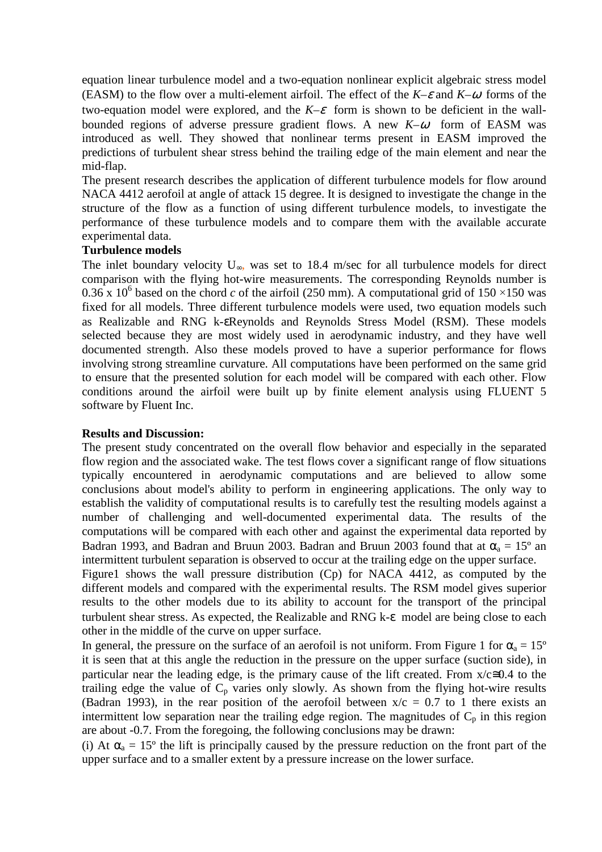equation linear turbulence model and a two-equation nonlinear explicit algebraic stress model (EASM) to the flow over a multi-element airfoil. The effect of the  $K-\varepsilon$  and  $K-\omega$  forms of the two-equation model were explored, and the  $K-\varepsilon$  form is shown to be deficient in the wallbounded regions of adverse pressure gradient flows. A new  $K-\omega$  form of EASM was introduced as well. They showed that nonlinear terms present in EASM improved the predictions of turbulent shear stress behind the trailing edge of the main element and near the mid-flap.

The present research describes the application of different turbulence models for flow around NACA 4412 aerofoil at angle of attack 15 degree. It is designed to investigate the change in the structure of the flow as a function of using different turbulence models, to investigate the performance of these turbulence models and to compare them with the available accurate experimental data.

### **Turbulence models**

The inlet boundary velocity  $U_{\infty}$ , was set to 18.4 m/sec for all turbulence models for direct comparison with the flying hot-wire measurements. The corresponding Reynolds number is 0.36 x 10<sup>6</sup> based on the chord *c* of the airfoil (250 mm). A computational grid of 150 ×150 was fixed for all models. Three different turbulence models were used, two equation models such as Realizable and RNG k-εReynolds and Reynolds Stress Model (RSM). These models selected because they are most widely used in aerodynamic industry, and they have well documented strength. Also these models proved to have a superior performance for flows involving strong streamline curvature. All computations have been performed on the same grid to ensure that the presented solution for each model will be compared with each other. Flow conditions around the airfoil were built up by finite element analysis using FLUENT 5 software by Fluent Inc.

#### **Results and Discussion:**

The present study concentrated on the overall flow behavior and especially in the separated flow region and the associated wake. The test flows cover a significant range of flow situations typically encountered in aerodynamic computations and are believed to allow some conclusions about model's ability to perform in engineering applications. The only way to establish the validity of computational results is to carefully test the resulting models against a number of challenging and well-documented experimental data. The results of the computations will be compared with each other and against the experimental data reported by Badran 1993, and Badran and Bruun 2003. Badran and Bruun 2003 found that at  $\alpha_a = 15^\circ$  an intermittent turbulent separation is observed to occur at the trailing edge on the upper surface.

Figure1 shows the wall pressure distribution (Cp) for NACA 4412, as computed by the different models and compared with the experimental results. The RSM model gives superior results to the other models due to its ability to account for the transport of the principal turbulent shear stress. As expected, the Realizable and RNG k-ε model are being close to each other in the middle of the curve on upper surface.

In general, the pressure on the surface of an aerofoil is not uniform. From Figure 1 for  $\alpha_a = 15^\circ$ it is seen that at this angle the reduction in the pressure on the upper surface (suction side), in particular near the leading edge, is the primary cause of the lift created. From  $x/c \approx 0.4$  to the trailing edge the value of  $C_p$  varies only slowly. As shown from the flying hot-wire results (Badran 1993), in the rear position of the aerofoil between  $x/c = 0.7$  to 1 there exists an intermittent low separation near the trailing edge region. The magnitudes of  $C_p$  in this region are about -0.7. From the foregoing, the following conclusions may be drawn:

(i) At  $\alpha_a = 15^{\circ}$  the lift is principally caused by the pressure reduction on the front part of the upper surface and to a smaller extent by a pressure increase on the lower surface.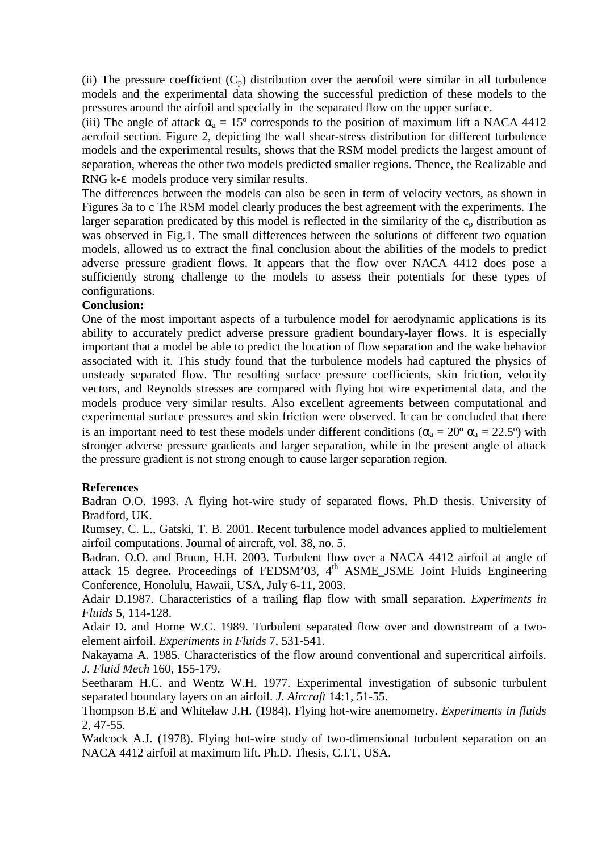(ii) The pressure coefficient  $(C_p)$  distribution over the aerofoil were similar in all turbulence models and the experimental data showing the successful prediction of these models to the pressures around the airfoil and specially in the separated flow on the upper surface.

(iii) The angle of attack  $\alpha_a = 15^\circ$  corresponds to the position of maximum lift a NACA 4412 aerofoil section. Figure 2, depicting the wall shear-stress distribution for different turbulence models and the experimental results, shows that the RSM model predicts the largest amount of separation, whereas the other two models predicted smaller regions. Thence, the Realizable and RNG k-ε models produce very similar results.

The differences between the models can also be seen in term of velocity vectors, as shown in Figures 3a to c The RSM model clearly produces the best agreement with the experiments. The larger separation predicated by this model is reflected in the similarity of the  $c_p$  distribution as was observed in Fig.1. The small differences between the solutions of different two equation models, allowed us to extract the final conclusion about the abilities of the models to predict adverse pressure gradient flows. It appears that the flow over NACA 4412 does pose a sufficiently strong challenge to the models to assess their potentials for these types of configurations.

## **Conclusion:**

One of the most important aspects of a turbulence model for aerodynamic applications is its ability to accurately predict adverse pressure gradient boundary-layer flows. It is especially important that a model be able to predict the location of flow separation and the wake behavior associated with it. This study found that the turbulence models had captured the physics of unsteady separated flow. The resulting surface pressure coefficients, skin friction, velocity vectors, and Reynolds stresses are compared with flying hot wire experimental data, and the models produce very similar results. Also excellent agreements between computational and experimental surface pressures and skin friction were observed. It can be concluded that there is an important need to test these models under different conditions ( $\alpha_a = 20^\circ \alpha_a = 22.5^\circ$ ) with stronger adverse pressure gradients and larger separation, while in the present angle of attack the pressure gradient is not strong enough to cause larger separation region.

### **References**

Badran O.O. 1993. A flying hot-wire study of separated flows. Ph.D thesis. University of Bradford, UK.

Rumsey, C. L., Gatski, T. B. 2001. Recent turbulence model advances applied to multielement airfoil computations. Journal of aircraft, vol. 38, no. 5.

Badran. O.O. and Bruun, H.H. 2003. Turbulent flow over a NACA 4412 airfoil at angle of attack 15 degree**.** Proceedings of FEDSM'03, 4th ASME\_JSME Joint Fluids Engineering Conference, Honolulu, Hawaii, USA, July 6-11, 2003.

Adair D.1987. Characteristics of a trailing flap flow with small separation. *Experiments in Fluids* 5, 114-128.

Adair D. and Horne W.C. 1989. Turbulent separated flow over and downstream of a twoelement airfoil. *Experiments in Fluids* 7, 531-541.

Nakayama A. 1985. Characteristics of the flow around conventional and supercritical airfoils. *J. Fluid Mech* 160, 155-179.

Seetharam H.C. and Wentz W.H. 1977. Experimental investigation of subsonic turbulent separated boundary layers on an airfoil. *J. Aircraft* 14:1, 51-55.

Thompson B.E and Whitelaw J.H. (1984). Flying hot-wire anemometry. *Experiments in fluids* 2, 47-55.

Wadcock A.J. (1978). Flying hot-wire study of two-dimensional turbulent separation on an NACA 4412 airfoil at maximum lift. Ph.D. Thesis, C.I.T, USA.